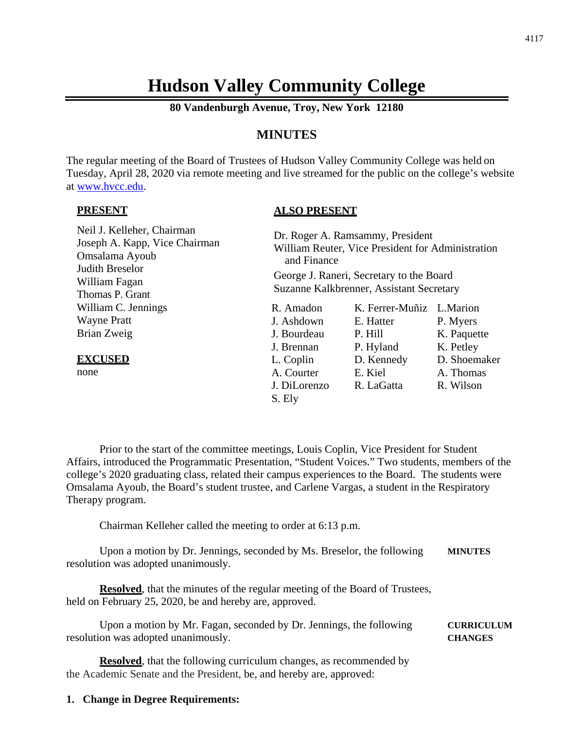# **Hudson Valley Community College**

**80 Vandenburgh Avenue, Troy, New York 12180**

# **MINUTES**

The regular meeting of the Board of Trustees of Hudson Valley Community College was held on Tuesday, April 28, 2020 via remote meeting and live streamed for the public on the college's website at [www.hvcc.edu.](http://www.hvcc.edu/)

#### **PRESENT**

## **ALSO PRESENT**

| Neil J. Kelleher, Chairman<br>Joseph A. Kapp, Vice Chairman<br>Omsalama Ayoub<br>Judith Breselor<br>William Fagan<br>Thomas P. Grant | Dr. Roger A. Ramsammy, President<br>William Reuter, Vice President for Administration<br>and Finance<br>George J. Raneri, Secretary to the Board<br>Suzanne Kalkbrenner, Assistant Secretary |                 |              |
|--------------------------------------------------------------------------------------------------------------------------------------|----------------------------------------------------------------------------------------------------------------------------------------------------------------------------------------------|-----------------|--------------|
| William C. Jennings                                                                                                                  | R. Amadon                                                                                                                                                                                    | K. Ferrer-Muñiz | L.Marion     |
| <b>Wayne Pratt</b>                                                                                                                   | J. Ashdown                                                                                                                                                                                   | E. Hatter       | P. Myers     |
| Brian Zweig                                                                                                                          | J. Bourdeau                                                                                                                                                                                  | P. Hill         | K. Paquette  |
|                                                                                                                                      | J. Brennan                                                                                                                                                                                   | P. Hyland       | K. Petley    |
| <b>EXCUSED</b>                                                                                                                       | L. Coplin                                                                                                                                                                                    | D. Kennedy      | D. Shoemaker |
| none                                                                                                                                 | A. Courter                                                                                                                                                                                   | E. Kiel         | A. Thomas    |
|                                                                                                                                      | J. DiLorenzo                                                                                                                                                                                 | R. LaGatta      | R. Wilson    |
|                                                                                                                                      | S. Ely                                                                                                                                                                                       |                 |              |

Prior to the start of the committee meetings, Louis Coplin, Vice President for Student Affairs, introduced the Programmatic Presentation, "Student Voices." Two students, members of the college's 2020 graduating class, related their campus experiences to the Board. The students were Omsalama Ayoub, the Board's student trustee, and Carlene Vargas, a student in the Respiratory Therapy program.

Chairman Kelleher called the meeting to order at 6:13 p.m.

Upon a motion by Dr. Jennings, seconded by Ms. Breselor, the following **MINUTES** resolution was adopted unanimously.

**Resolved**, that the minutes of the regular meeting of the Board of Trustees, held on February 25, 2020, be and hereby are, approved.

Upon a motion by Mr. Fagan, seconded by Dr. Jennings, the following **CURRICULUM** resolution was adopted unanimously. **CHANGES**

**Resolved**, that the following curriculum changes, as recommended by the Academic Senate and the President, be, and hereby are, approved:

#### **1. Change in Degree Requirements:**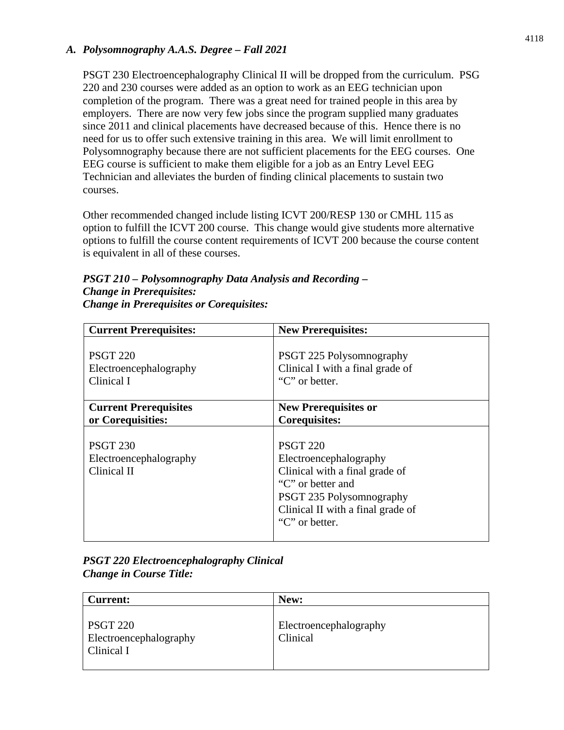## *A. Polysomnography A.A.S. Degree – Fall 2021*

PSGT 230 Electroencephalography Clinical II will be dropped from the curriculum. PSG 220 and 230 courses were added as an option to work as an EEG technician upon completion of the program. There was a great need for trained people in this area by employers. There are now very few jobs since the program supplied many graduates since 2011 and clinical placements have decreased because of this. Hence there is no need for us to offer such extensive training in this area. We will limit enrollment to Polysomnography because there are not sufficient placements for the EEG courses. One EEG course is sufficient to make them eligible for a job as an Entry Level EEG Technician and alleviates the burden of finding clinical placements to sustain two courses.

Other recommended changed include listing ICVT 200/RESP 130 or CMHL 115 as option to fulfill the ICVT 200 course. This change would give students more alternative options to fulfill the course content requirements of ICVT 200 because the course content is equivalent in all of these courses.

| PSGT 210 - Polysomnography Data Analysis and Recording - |
|----------------------------------------------------------|
| <b>Change in Prerequisites:</b>                          |
| <b>Change in Prerequisites or Corequisites:</b>          |

| <b>Current Prerequisites:</b>                            | <b>New Prerequisites:</b>                                                                                                                                                           |
|----------------------------------------------------------|-------------------------------------------------------------------------------------------------------------------------------------------------------------------------------------|
| <b>PSGT 220</b>                                          | PSGT 225 Polysomnography                                                                                                                                                            |
| Electroencephalography                                   | Clinical I with a final grade of                                                                                                                                                    |
| Clinical I                                               | "C" or better.                                                                                                                                                                      |
| <b>Current Prerequisites</b>                             | <b>New Prerequisites or</b>                                                                                                                                                         |
| or Corequisities:                                        | <b>Corequisites:</b>                                                                                                                                                                |
| <b>PSGT 230</b><br>Electroencephalography<br>Clinical II | <b>PSGT 220</b><br>Electroencephalography<br>Clinical with a final grade of<br>"C" or better and<br>PSGT 235 Polysomnography<br>Clinical II with a final grade of<br>"C" or better. |

| <b>PSGT 220 Electroencephalography Clinical</b> |  |
|-------------------------------------------------|--|
| <b>Change in Course Title:</b>                  |  |

| <b>Current:</b>                                         | New:                               |
|---------------------------------------------------------|------------------------------------|
| <b>PSGT 220</b><br>Electroencephalography<br>Clinical I | Electroencephalography<br>Clinical |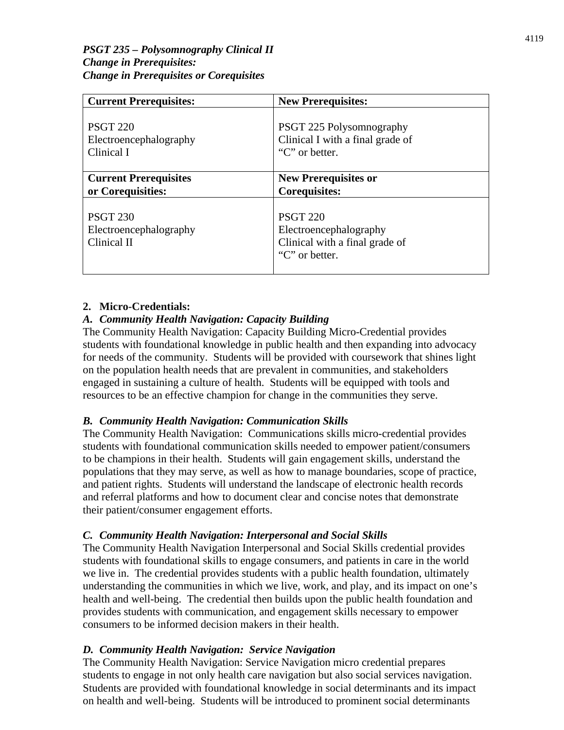| <b>Current Prerequisites:</b>                            | <b>New Prerequisites:</b>                                                                     |
|----------------------------------------------------------|-----------------------------------------------------------------------------------------------|
| <b>PSGT 220</b>                                          | PSGT 225 Polysomnography                                                                      |
| Electroencephalography                                   | Clinical I with a final grade of                                                              |
| Clinical I                                               | "C" or better.                                                                                |
| <b>Current Prerequisites</b>                             | <b>New Prerequisites or</b>                                                                   |
| or Corequisities:                                        | <b>Corequisites:</b>                                                                          |
| <b>PSGT 230</b><br>Electroencephalography<br>Clinical II | <b>PSGT 220</b><br>Electroencephalography<br>Clinical with a final grade of<br>"C" or better. |

# **2. Micro-Credentials:**

## *A. Community Health Navigation: Capacity Building*

The Community Health Navigation: Capacity Building Micro-Credential provides students with foundational knowledge in public health and then expanding into advocacy for needs of the community. Students will be provided with coursework that shines light on the population health needs that are prevalent in communities, and stakeholders engaged in sustaining a culture of health. Students will be equipped with tools and resources to be an effective champion for change in the communities they serve.

## *B. Community Health Navigation: Communication Skills*

The Community Health Navigation: Communications skills micro-credential provides students with foundational communication skills needed to empower patient/consumers to be champions in their health. Students will gain engagement skills, understand the populations that they may serve, as well as how to manage boundaries, scope of practice, and patient rights. Students will understand the landscape of electronic health records and referral platforms and how to document clear and concise notes that demonstrate their patient/consumer engagement efforts.

## *C. Community Health Navigation: Interpersonal and Social Skills*

The Community Health Navigation Interpersonal and Social Skills credential provides students with foundational skills to engage consumers, and patients in care in the world we live in. The credential provides students with a public health foundation, ultimately understanding the communities in which we live, work, and play, and its impact on one's health and well-being. The credential then builds upon the public health foundation and provides students with communication, and engagement skills necessary to empower consumers to be informed decision makers in their health.

## *D. Community Health Navigation: Service Navigation*

The Community Health Navigation: Service Navigation micro credential prepares students to engage in not only health care navigation but also social services navigation. Students are provided with foundational knowledge in social determinants and its impact on health and well-being. Students will be introduced to prominent social determinants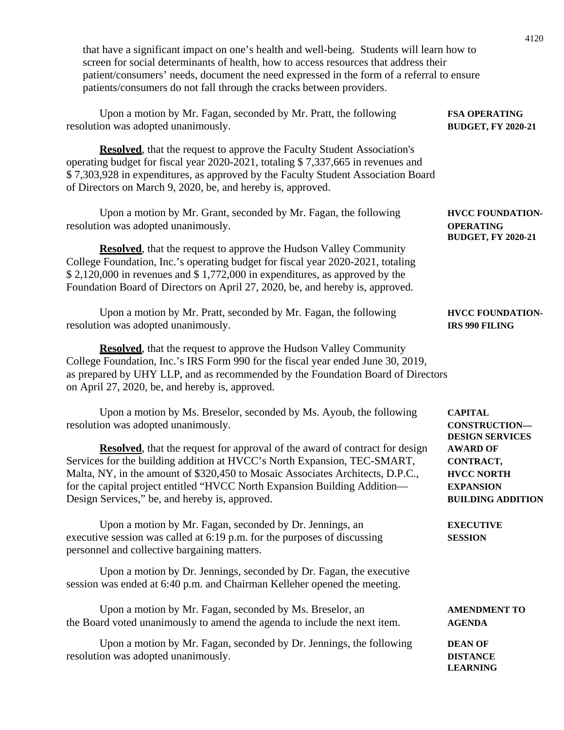| that have a significant impact on one's health and well-being. Students will learn how to<br>screen for social determinants of health, how to access resources that address their<br>patient/consumers' needs, document the need expressed in the form of a referral to ensure<br>patients/consumers do not fall through the cracks between providers.                           |                                                                                                   |
|----------------------------------------------------------------------------------------------------------------------------------------------------------------------------------------------------------------------------------------------------------------------------------------------------------------------------------------------------------------------------------|---------------------------------------------------------------------------------------------------|
| Upon a motion by Mr. Fagan, seconded by Mr. Pratt, the following<br>resolution was adopted unanimously.                                                                                                                                                                                                                                                                          | <b>FSA OPERATING</b><br><b>BUDGET, FY 2020-21</b>                                                 |
| <b>Resolved</b> , that the request to approve the Faculty Student Association's<br>operating budget for fiscal year 2020-2021, totaling \$7,337,665 in revenues and<br>\$7,303,928 in expenditures, as approved by the Faculty Student Association Board<br>of Directors on March 9, 2020, be, and hereby is, approved.                                                          |                                                                                                   |
| Upon a motion by Mr. Grant, seconded by Mr. Fagan, the following<br>resolution was adopted unanimously.                                                                                                                                                                                                                                                                          | <b>HVCC FOUNDATION-</b><br><b>OPERATING</b><br><b>BUDGET, FY 2020-21</b>                          |
| <b>Resolved</b> , that the request to approve the Hudson Valley Community<br>College Foundation, Inc.'s operating budget for fiscal year 2020-2021, totaling<br>\$2,120,000 in revenues and \$1,772,000 in expenditures, as approved by the<br>Foundation Board of Directors on April 27, 2020, be, and hereby is, approved.                                                     |                                                                                                   |
| Upon a motion by Mr. Pratt, seconded by Mr. Fagan, the following<br>resolution was adopted unanimously.                                                                                                                                                                                                                                                                          | <b>HVCC FOUNDATION-</b><br><b>IRS 990 FILING</b>                                                  |
| <b>Resolved</b> , that the request to approve the Hudson Valley Community<br>College Foundation, Inc.'s IRS Form 990 for the fiscal year ended June 30, 2019,<br>as prepared by UHY LLP, and as recommended by the Foundation Board of Directors<br>on April 27, 2020, be, and hereby is, approved.                                                                              |                                                                                                   |
| Upon a motion by Ms. Breselor, seconded by Ms. Ayoub, the following<br>resolution was adopted unanimously.                                                                                                                                                                                                                                                                       | <b>CAPITAL</b><br><b>CONSTRUCTION-</b><br><b>DESIGN SERVICES</b>                                  |
| <b>Resolved</b> , that the request for approval of the award of contract for design<br>Services for the building addition at HVCC's North Expansion, TEC-SMART,<br>Malta, NY, in the amount of \$320,450 to Mosaic Associates Architects, D.P.C.,<br>for the capital project entitled "HVCC North Expansion Building Addition—<br>Design Services," be, and hereby is, approved. | <b>AWARD OF</b><br>CONTRACT,<br><b>HVCC NORTH</b><br><b>EXPANSION</b><br><b>BUILDING ADDITION</b> |
| Upon a motion by Mr. Fagan, seconded by Dr. Jennings, an<br>executive session was called at 6:19 p.m. for the purposes of discussing<br>personnel and collective bargaining matters.                                                                                                                                                                                             | <b>EXECUTIVE</b><br><b>SESSION</b>                                                                |
| Upon a motion by Dr. Jennings, seconded by Dr. Fagan, the executive<br>session was ended at 6:40 p.m. and Chairman Kelleher opened the meeting.                                                                                                                                                                                                                                  |                                                                                                   |
| Upon a motion by Mr. Fagan, seconded by Ms. Breselor, an<br>the Board voted unanimously to amend the agenda to include the next item.                                                                                                                                                                                                                                            | <b>AMENDMENT TO</b><br><b>AGENDA</b>                                                              |
| Upon a motion by Mr. Fagan, seconded by Dr. Jennings, the following<br>resolution was adopted unanimously.                                                                                                                                                                                                                                                                       | <b>DEAN OF</b><br><b>DISTANCE</b><br><b>LEARNING</b>                                              |

4120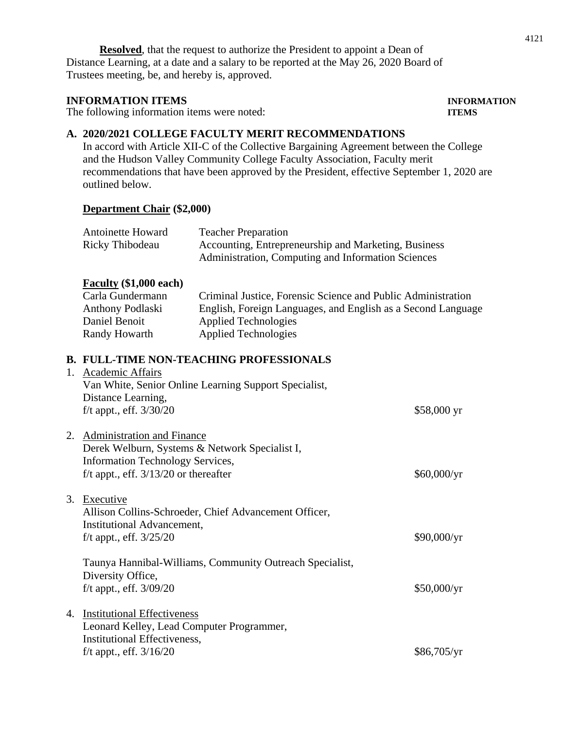**Resolved**, that the request to authorize the President to appoint a Dean of Distance Learning, at a date and a salary to be reported at the May 26, 2020 Board of Trustees meeting, be, and hereby is, approved.

#### **INFORMATION ITEMS INFORMATION**

The following information items were noted: **ITEMS**

# **A. 2020/2021 COLLEGE FACULTY MERIT RECOMMENDATIONS**

In accord with Article XII-C of the Collective Bargaining Agreement between the College and the Hudson Valley Community College Faculty Association, Faculty merit recommendations that have been approved by the President, effective September 1, 2020 are outlined below.

#### **Department Chair (\$2,000)**

| <b>Antoinette Howard</b><br>Ricky Thibodeau                                                                                                                           | <b>Teacher Preparation</b><br>Accounting, Entrepreneurship and Marketing, Business<br>Administration, Computing and Information Sciences                                                   |             |
|-----------------------------------------------------------------------------------------------------------------------------------------------------------------------|--------------------------------------------------------------------------------------------------------------------------------------------------------------------------------------------|-------------|
| <b>Faculty</b> $(\$1,000$ each)<br>Carla Gundermann<br>Anthony Podlaski<br>Daniel Benoit<br>Randy Howarth                                                             | Criminal Justice, Forensic Science and Public Administration<br>English, Foreign Languages, and English as a Second Language<br><b>Applied Technologies</b><br><b>Applied Technologies</b> |             |
| 1. Academic Affairs<br>Distance Learning,<br>$f/t$ appt., eff. $3/30/20$                                                                                              | <b>B. FULL-TIME NON-TEACHING PROFESSIONALS</b><br>Van White, Senior Online Learning Support Specialist,                                                                                    | \$58,000 yr |
| 2. Administration and Finance<br>Derek Welburn, Systems & Network Specialist I,<br><b>Information Technology Services,</b><br>f/t appt., eff. $3/13/20$ or thereafter |                                                                                                                                                                                            | \$60,000/yr |
| 3. Executive<br><b>Institutional Advancement,</b><br>f/t appt., eff. $3/25/20$                                                                                        | Allison Collins-Schroeder, Chief Advancement Officer,                                                                                                                                      | \$90,000/yr |
| Diversity Office,<br>f/t appt., eff. 3/09/20                                                                                                                          | Taunya Hannibal-Williams, Community Outreach Specialist,                                                                                                                                   | \$50,000/yr |
| 4. Institutional Effectiveness<br>Leonard Kelley, Lead Computer Programmer,<br>Institutional Effectiveness,<br>f/t appt., eff. $3/16/20$                              |                                                                                                                                                                                            | \$86,705/yr |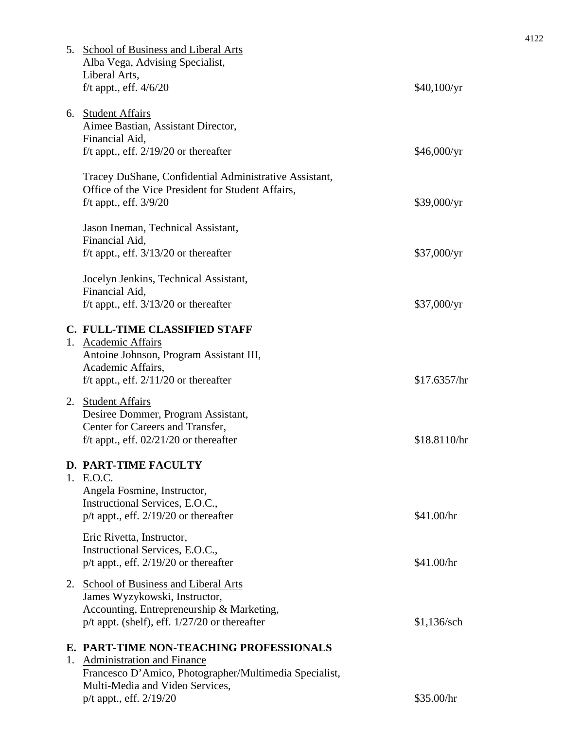| 5. School of Business and Liberal Arts<br>Alba Vega, Advising Specialist,<br>Liberal Arts,                                                                                                       |               |
|--------------------------------------------------------------------------------------------------------------------------------------------------------------------------------------------------|---------------|
| f/t appt., eff. $4/6/20$                                                                                                                                                                         | \$40,100/yr   |
| 6. Student Affairs<br>Aimee Bastian, Assistant Director,<br>Financial Aid,<br>f/t appt., eff. $2/19/20$ or thereafter                                                                            | \$46,000/yr   |
| Tracey DuShane, Confidential Administrative Assistant,<br>Office of the Vice President for Student Affairs,<br>f/t appt., eff. $3/9/20$                                                          | \$39,000/yr   |
| Jason Ineman, Technical Assistant,<br>Financial Aid,<br>f/t appt., eff. $3/13/20$ or thereafter                                                                                                  | \$37,000/yr   |
| Jocelyn Jenkins, Technical Assistant,<br>Financial Aid,<br>f/t appt., eff. $3/13/20$ or thereafter                                                                                               | \$37,000/yr   |
| C. FULL-TIME CLASSIFIED STAFF<br>1. Academic Affairs<br>Antoine Johnson, Program Assistant III,<br>Academic Affairs,<br>f/t appt., eff. $2/11/20$ or thereafter                                  | \$17.6357/hr  |
| 2. Student Affairs<br>Desiree Dommer, Program Assistant,<br>Center for Careers and Transfer,<br>f/t appt., eff. $02/21/20$ or thereafter                                                         | \$18.8110/hr  |
| <b>D. PART-TIME FACULTY</b><br>1. E.O.C.<br>Angela Fosmine, Instructor,<br>Instructional Services, E.O.C.,<br>$p/t$ appt., eff. 2/19/20 or thereafter                                            | \$41.00/hr    |
| Eric Rivetta, Instructor,<br>Instructional Services, E.O.C.,<br>$p/t$ appt., eff. 2/19/20 or thereafter                                                                                          | \$41.00/hr    |
| 2. School of Business and Liberal Arts<br>James Wyzykowski, Instructor,<br>Accounting, Entrepreneurship & Marketing,<br>$p/t$ appt. (shelf), eff. $1/27/20$ or thereafter                        | $$1,136$ /sch |
| E. PART-TIME NON-TEACHING PROFESSIONALS<br>1. Administration and Finance<br>Francesco D'Amico, Photographer/Multimedia Specialist,<br>Multi-Media and Video Services,<br>p/t appt., eff. 2/19/20 | \$35.00/hr    |